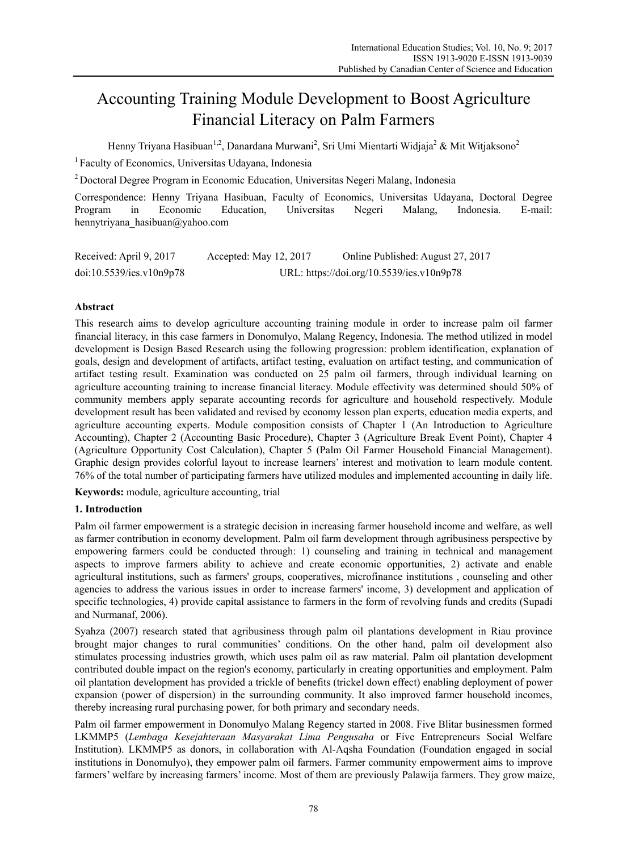# Accounting Training Module Development to Boost Agriculture Financial Literacy on Palm Farmers

Henny Triyana Hasibuan<sup>1,2</sup>, Danardana Murwani<sup>2</sup>, Sri Umi Mientarti Widjaja<sup>2</sup> & Mit Witjaksono<sup>2</sup>

<sup>1</sup> Faculty of Economics, Universitas Udayana, Indonesia

2 Doctoral Degree Program in Economic Education, Universitas Negeri Malang, Indonesia

Correspondence: Henny Triyana Hasibuan, Faculty of Economics, Universitas Udayana, Doctoral Degree Program in Economic Education, Universitas Negeri Malang, Indonesia. E-mail: hennytriyana\_hasibuan@yahoo.com

| Received: April 9, 2017  | Accepted: May 12, 2017                    | Online Published: August 27, 2017 |
|--------------------------|-------------------------------------------|-----------------------------------|
| doi:10.5539/ies.v10n9p78 | URL: https://doi.org/10.5539/ies.v10n9p78 |                                   |

# **Abstract**

This research aims to develop agriculture accounting training module in order to increase palm oil farmer financial literacy, in this case farmers in Donomulyo, Malang Regency, Indonesia. The method utilized in model development is Design Based Research using the following progression: problem identification, explanation of goals, design and development of artifacts, artifact testing, evaluation on artifact testing, and communication of artifact testing result. Examination was conducted on 25 palm oil farmers, through individual learning on agriculture accounting training to increase financial literacy. Module effectivity was determined should 50% of community members apply separate accounting records for agriculture and household respectively. Module development result has been validated and revised by economy lesson plan experts, education media experts, and agriculture accounting experts. Module composition consists of Chapter 1 (An Introduction to Agriculture Accounting), Chapter 2 (Accounting Basic Procedure), Chapter 3 (Agriculture Break Event Point), Chapter 4 (Agriculture Opportunity Cost Calculation), Chapter 5 (Palm Oil Farmer Household Financial Management). Graphic design provides colorful layout to increase learners' interest and motivation to learn module content. 76% of the total number of participating farmers have utilized modules and implemented accounting in daily life.

**Keywords:** module, agriculture accounting, trial

# **1. Introduction**

Palm oil farmer empowerment is a strategic decision in increasing farmer household income and welfare, as well as farmer contribution in economy development. Palm oil farm development through agribusiness perspective by empowering farmers could be conducted through: 1) counseling and training in technical and management aspects to improve farmers ability to achieve and create economic opportunities, 2) activate and enable agricultural institutions, such as farmers' groups, cooperatives, microfinance institutions , counseling and other agencies to address the various issues in order to increase farmers' income, 3) development and application of specific technologies, 4) provide capital assistance to farmers in the form of revolving funds and credits (Supadi and Nurmanaf, 2006).

Syahza (2007) research stated that agribusiness through palm oil plantations development in Riau province brought major changes to rural communities' conditions. On the other hand, palm oil development also stimulates processing industries growth, which uses palm oil as raw material. Palm oil plantation development contributed double impact on the region's economy, particularly in creating opportunities and employment. Palm oil plantation development has provided a trickle of benefits (trickel down effect) enabling deployment of power expansion (power of dispersion) in the surrounding community. It also improved farmer household incomes, thereby increasing rural purchasing power, for both primary and secondary needs.

Palm oil farmer empowerment in Donomulyo Malang Regency started in 2008. Five Blitar businessmen formed LKMMP5 (*Lembaga Kesejahteraan Masyarakat Lima Pengusaha* or Five Entrepreneurs Social Welfare Institution). LKMMP5 as donors, in collaboration with Al-Aqsha Foundation (Foundation engaged in social institutions in Donomulyo), they empower palm oil farmers. Farmer community empowerment aims to improve farmers' welfare by increasing farmers' income. Most of them are previously Palawija farmers. They grow maize,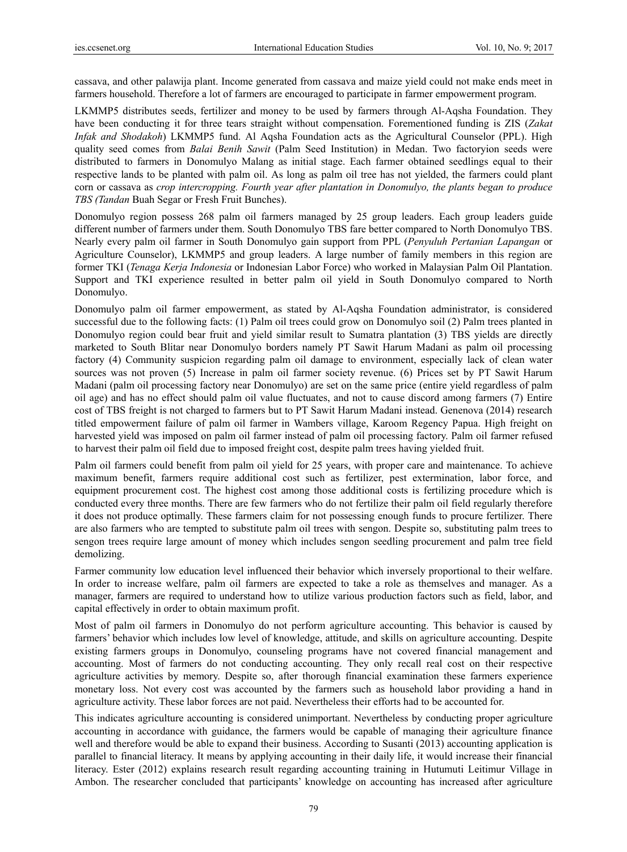cassava, and other palawija plant. Income generated from cassava and maize yield could not make ends meet in farmers household. Therefore a lot of farmers are encouraged to participate in farmer empowerment program.

LKMMP5 distributes seeds, fertilizer and money to be used by farmers through Al-Aqsha Foundation. They have been conducting it for three tears straight without compensation. Forementioned funding is ZIS (*Zakat Infak and Shodakoh*) LKMMP5 fund. Al Aqsha Foundation acts as the Agricultural Counselor (PPL). High quality seed comes from *Balai Benih Sawit* (Palm Seed Institution) in Medan. Two factoryion seeds were distributed to farmers in Donomulyo Malang as initial stage. Each farmer obtained seedlings equal to their respective lands to be planted with palm oil. As long as palm oil tree has not yielded, the farmers could plant corn or cassava as *crop intercropping. Fourth year after plantation in Donomulyo, the plants began to produce TBS (Tandan* Buah Segar or Fresh Fruit Bunches).

Donomulyo region possess 268 palm oil farmers managed by 25 group leaders. Each group leaders guide different number of farmers under them. South Donomulyo TBS fare better compared to North Donomulyo TBS. Nearly every palm oil farmer in South Donomulyo gain support from PPL (*Penyuluh Pertanian Lapangan* or Agriculture Counselor), LKMMP5 and group leaders. A large number of family members in this region are former TKI (*Tenaga Kerja Indonesia* or Indonesian Labor Force) who worked in Malaysian Palm Oil Plantation. Support and TKI experience resulted in better palm oil yield in South Donomulyo compared to North Donomulyo.

Donomulyo palm oil farmer empowerment, as stated by Al-Aqsha Foundation administrator, is considered successful due to the following facts: (1) Palm oil trees could grow on Donomulyo soil (2) Palm trees planted in Donomulyo region could bear fruit and yield similar result to Sumatra plantation (3) TBS yields are directly marketed to South Blitar near Donomulyo borders namely PT Sawit Harum Madani as palm oil processing factory (4) Community suspicion regarding palm oil damage to environment, especially lack of clean water sources was not proven (5) Increase in palm oil farmer society revenue. (6) Prices set by PT Sawit Harum Madani (palm oil processing factory near Donomulyo) are set on the same price (entire yield regardless of palm oil age) and has no effect should palm oil value fluctuates, and not to cause discord among farmers (7) Entire cost of TBS freight is not charged to farmers but to PT Sawit Harum Madani instead. Genenova (2014) research titled empowerment failure of palm oil farmer in Wambers village, Karoom Regency Papua. High freight on harvested yield was imposed on palm oil farmer instead of palm oil processing factory. Palm oil farmer refused to harvest their palm oil field due to imposed freight cost, despite palm trees having yielded fruit.

Palm oil farmers could benefit from palm oil yield for 25 years, with proper care and maintenance. To achieve maximum benefit, farmers require additional cost such as fertilizer, pest extermination, labor force, and equipment procurement cost. The highest cost among those additional costs is fertilizing procedure which is conducted every three months. There are few farmers who do not fertilize their palm oil field regularly therefore it does not produce optimally. These farmers claim for not possessing enough funds to procure fertilizer. There are also farmers who are tempted to substitute palm oil trees with sengon. Despite so, substituting palm trees to sengon trees require large amount of money which includes sengon seedling procurement and palm tree field demolizing.

Farmer community low education level influenced their behavior which inversely proportional to their welfare. In order to increase welfare, palm oil farmers are expected to take a role as themselves and manager. As a manager, farmers are required to understand how to utilize various production factors such as field, labor, and capital effectively in order to obtain maximum profit.

Most of palm oil farmers in Donomulyo do not perform agriculture accounting. This behavior is caused by farmers' behavior which includes low level of knowledge, attitude, and skills on agriculture accounting. Despite existing farmers groups in Donomulyo, counseling programs have not covered financial management and accounting. Most of farmers do not conducting accounting. They only recall real cost on their respective agriculture activities by memory. Despite so, after thorough financial examination these farmers experience monetary loss. Not every cost was accounted by the farmers such as household labor providing a hand in agriculture activity. These labor forces are not paid. Nevertheless their efforts had to be accounted for.

This indicates agriculture accounting is considered unimportant. Nevertheless by conducting proper agriculture accounting in accordance with guidance, the farmers would be capable of managing their agriculture finance well and therefore would be able to expand their business. According to Susanti (2013) accounting application is parallel to financial literacy. It means by applying accounting in their daily life, it would increase their financial literacy. Ester (2012) explains research result regarding accounting training in Hutumuti Leitimur Village in Ambon. The researcher concluded that participants' knowledge on accounting has increased after agriculture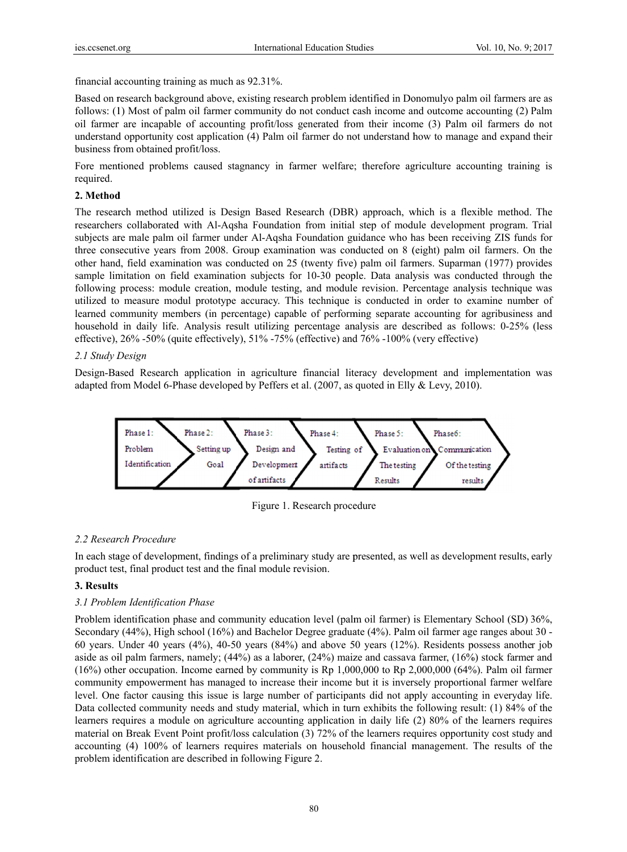financial accounting training as much as 92.31%.

Based on research background above, existing research problem identified in Donomulyo palm oil farmers are as follows: (1) Most of palm oil farmer community do not conduct cash income and outcome accounting (2) Palm oil farmer are incapable of accounting profit/loss generated from their income (3) Palm oil farmers do not understand opportunity cost application (4) Palm oil farmer do not understand how to manage and expand their business from obtained profit/loss.

Fore mentioned problems caused stagnancy in farmer welfare; therefore agriculture accounting training is required.

#### 2. Method

The research method utilized is Design Based Research (DBR) approach, which is a flexible method. The researchers collaborated with Al-Agsha Foundation from initial step of module development program. Trial subjects are male palm oil farmer under Al-Aqsha Foundation guidance who has been receiving ZIS funds for three consecutive years from 2008. Group examination was conducted on 8 (eight) palm oil farmers. On the other hand, field examination was conducted on 25 (twenty five) palm oil farmers. Suparman (1977) provides sample limitation on field examination subjects for 10-30 people. Data analysis was conducted through the following process: module creation, module testing, and module revision. Percentage analysis technique was utilized to measure modul prototype accuracy. This technique is conducted in order to examine number of learned community members (in percentage) capable of performing separate accounting for agribusiness and household in daily life. Analysis result utilizing percentage analysis are described as follows: 0-25% (less effective), 26% -50% (quite effectively), 51% -75% (effective) and 76% -100% (very effective)

#### 2.1 Study Design

Design-Based Research application in agriculture financial literacy development and implementation was adapted from Model 6-Phase developed by Peffers et al. (2007, as quoted in Elly & Levy, 2010).



Figure 1. Research procedure

## 2.2 Research Procedure

In each stage of development, findings of a preliminary study are presented, as well as development results, early product test, final product test and the final module revision.

## 3. Results

#### 3.1 Problem Identification Phase

Problem identification phase and community education level (palm oil farmer) is Elementary School (SD) 36%, Secondary (44%), High school (16%) and Bachelor Degree graduate (4%). Palm oil farmer age ranges about 30 -60 years. Under 40 years  $(4\%)$ , 40-50 years  $(84\%)$  and above 50 years  $(12\%)$ . Residents possess another job aside as oil palm farmers, namely; (44%) as a laborer, (24%) maize and cassava farmer, (16%) stock farmer and  $(16%)$  other occupation. Income earned by community is Rp 1,000,000 to Rp 2,000,000 (64%). Palm oil farmer community empowerment has managed to increase their income but it is inversely proportional farmer welfare level. One factor causing this issue is large number of participants did not apply accounting in everyday life. Data collected community needs and study material, which in turn exhibits the following result: (1) 84% of the learners requires a module on agriculture accounting application in daily life (2) 80% of the learners requires material on Break Event Point profit/loss calculation (3) 72% of the learners requires opportunity cost study and accounting (4) 100% of learners requires materials on household financial management. The results of the problem identification are described in following Figure 2.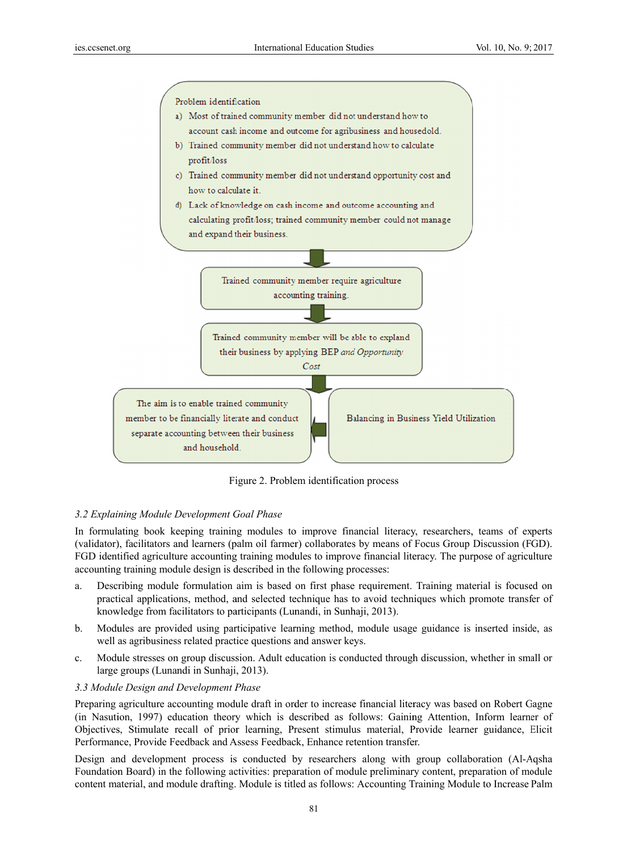

Figure 2. Problem identification process

## 3.2 Explaining Module Development Goal Phase

In formulating book keeping training modules to improve financial literacy, researchers, teams of experts (validator), facilitators and learners (palm oil farmer) collaborates by means of Focus Group Discussion (FGD). FGD identified agriculture accounting training modules to improve financial literacy. The purpose of agriculture accounting training module design is described in the following processes:

- Describing module formulation aim is based on first phase requirement. Training material is focused on a practical applications, method, and selected technique has to avoid techniques which promote transfer of knowledge from facilitators to participants (Lunandi, in Sunhaji, 2013).
- $<sub>b</sub>$ </sub> Modules are provided using participative learning method, module usage guidance is inserted inside, as well as agribusiness related practice questions and answer keys.
- Module stresses on group discussion. Adult education is conducted through discussion, whether in small or  $\mathbf{c}$ . large groups (Lunandi in Sunhaji, 2013).

## 3.3 Module Design and Development Phase

Preparing agriculture accounting module draft in order to increase financial literacy was based on Robert Gagne (in Nasution, 1997) education theory which is described as follows: Gaining Attention, Inform learner of Objectives. Stimulate recall of prior learning. Present stimulus material, Provide learner guidance, Elicit Performance, Provide Feedback and Assess Feedback, Enhance retention transfer.

Design and development process is conducted by researchers along with group collaboration (Al-Aqsha Foundation Board) in the following activities: preparation of module preliminary content, preparation of module content material, and module drafting. Module is titled as follows: Accounting Training Module to Increase Palm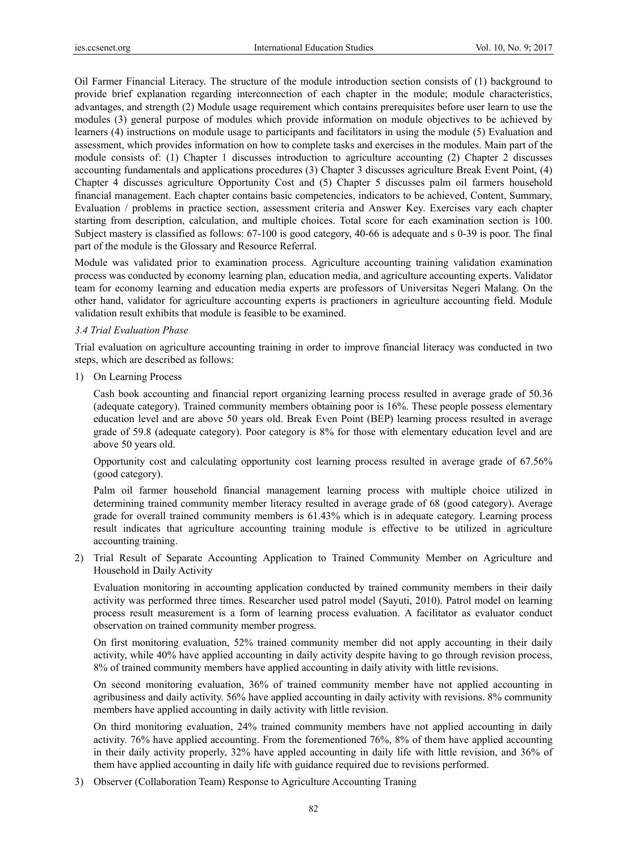Oil Farmer Financial Literacy. The structure of the module introduction section consists of (1) background to provide brief explanation regarding interconnection of each chapter in the module; module characteristics, advantages, and strength (2) Module usage requirement which contains prerequisites before user learn to use the modules (3) general purpose of modules which provide information on module objectives to be achieved by learners (4) instructions on module usage to participants and facilitators in using the module (5) Evaluation and assessment, which provides information on how to complete tasks and exercises in the modules. Main part of the module consists of: (1) Chapter 1 discusses introduction to agriculture accounting (2) Chapter 2 discusses accounting fundamentals and applications procedures (3) Chapter 3 discusses agriculture Break Event Point, (4) Chapter 4 discusses agriculture Opportunity Cost and (5) Chapter 5 discusses palm oil farmers household financial management. Each chapter contains basic competencies, indicators to be achieved, Content, Summary, Evaluation / problems in practice section, assessment criteria and Answer Key. Exercises vary each chapter starting from description, calculation, and multiple choices. Total score for each examination section is 100. Subject mastery is classified as follows: 67-100 is good category, 40-66 is adequate and s 0-39 is poor. The final part of the module is the Glossary and Resource Referral.

Module was validated prior to examination process. Agriculture accounting training validation examination process was conducted by economy learning plan, education media, and agriculture accounting experts. Validator team for economy learning and education media experts are professors of Universitas Negeri Malang. On the other hand, validator for agriculture accounting experts is practioners in agriculture accounting field. Module validation result exhibits that module is feasible to be examined.

#### *3.4 Trial Evaluation Phase*

Trial evaluation on agriculture accounting training in order to improve financial literacy was conducted in two steps, which are described as follows:

1) On Learning Process

Cash book accounting and financial report organizing learning process resulted in average grade of 50.36 (adequate category). Trained community members obtaining poor is 16%. These people possess elementary education level and are above 50 years old. Break Even Point (BEP) learning process resulted in average grade of 59.8 (adequate category). Poor category is 8% for those with elementary education level and are above 50 years old.

Opportunity cost and calculating opportunity cost learning process resulted in average grade of 67.56% (good category).

Palm oil farmer household financial management learning process with multiple choice utilized in determining trained community member literacy resulted in average grade of 68 (good category). Average grade for overall trained community members is 61.43% which is in adequate category. Learning process result indicates that agriculture accounting training module is effective to be utilized in agriculture accounting training.

2) Trial Result of Separate Accounting Application to Trained Community Member on Agriculture and Household in Daily Activity

Evaluation monitoring in accounting application conducted by trained community members in their daily activity was performed three times. Researcher used patrol model (Sayuti, 2010). Patrol model on learning process result measurement is a form of learning process evaluation. A facilitator as evaluator conduct observation on trained community member progress.

On first monitoring evaluation, 52% trained community member did not apply accounting in their daily activity, while 40% have applied accounting in daily activity despite having to go through revision process, 8% of trained community members have applied accounting in daily ativity with little revisions.

On second monitoring evaluation, 36% of trained community member have not applied accounting in agribusiness and daily activity. 56% have applied accounting in daily activity with revisions. 8% community members have applied accounting in daily activity with little revision.

On third monitoring evaluation, 24% trained community members have not applied accounting in daily activity. 76% have applied accounting. From the forementioned 76%, 8% of them have applied accounting in their daily activity properly, 32% have appled accounting in daily life with little revision, and 36% of them have applied accounting in daily life with guidance required due to revisions performed.

3) Observer (Collaboration Team) Response to Agriculture Accounting Traning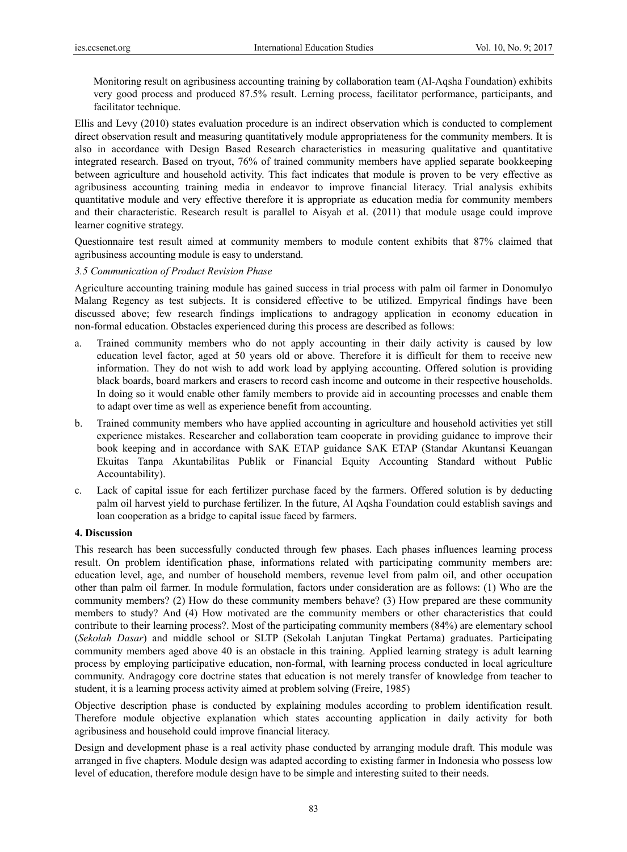Monitoring result on agribusiness accounting training by collaboration team (Al-Aqsha Foundation) exhibits very good process and produced 87.5% result. Lerning process, facilitator performance, participants, and facilitator technique.

Ellis and Levy (2010) states evaluation procedure is an indirect observation which is conducted to complement direct observation result and measuring quantitatively module appropriateness for the community members. It is also in accordance with Design Based Research characteristics in measuring qualitative and quantitative integrated research. Based on tryout, 76% of trained community members have applied separate bookkeeping between agriculture and household activity. This fact indicates that module is proven to be very effective as agribusiness accounting training media in endeavor to improve financial literacy. Trial analysis exhibits quantitative module and very effective therefore it is appropriate as education media for community members and their characteristic. Research result is parallel to Aisyah et al. (2011) that module usage could improve learner cognitive strategy.

Questionnaire test result aimed at community members to module content exhibits that 87% claimed that agribusiness accounting module is easy to understand.

## *3.5 Communication of Product Revision Phase*

Agriculture accounting training module has gained success in trial process with palm oil farmer in Donomulyo Malang Regency as test subjects. It is considered effective to be utilized. Empyrical findings have been discussed above; few research findings implications to andragogy application in economy education in non-formal education. Obstacles experienced during this process are described as follows:

- a. Trained community members who do not apply accounting in their daily activity is caused by low education level factor, aged at 50 years old or above. Therefore it is difficult for them to receive new information. They do not wish to add work load by applying accounting. Offered solution is providing black boards, board markers and erasers to record cash income and outcome in their respective households. In doing so it would enable other family members to provide aid in accounting processes and enable them to adapt over time as well as experience benefit from accounting.
- b. Trained community members who have applied accounting in agriculture and household activities yet still experience mistakes. Researcher and collaboration team cooperate in providing guidance to improve their book keeping and in accordance with SAK ETAP guidance SAK ETAP (Standar Akuntansi Keuangan Ekuitas Tanpa Akuntabilitas Publik or Financial Equity Accounting Standard without Public Accountability).
- c. Lack of capital issue for each fertilizer purchase faced by the farmers. Offered solution is by deducting palm oil harvest yield to purchase fertilizer. In the future, Al Aqsha Foundation could establish savings and loan cooperation as a bridge to capital issue faced by farmers.

## **4. Discussion**

This research has been successfully conducted through few phases. Each phases influences learning process result. On problem identification phase, informations related with participating community members are: education level, age, and number of household members, revenue level from palm oil, and other occupation other than palm oil farmer. In module formulation, factors under consideration are as follows: (1) Who are the community members? (2) How do these community members behave? (3) How prepared are these community members to study? And (4) How motivated are the community members or other characteristics that could contribute to their learning process?. Most of the participating community members (84%) are elementary school (*Sekolah Dasar*) and middle school or SLTP (Sekolah Lanjutan Tingkat Pertama) graduates. Participating community members aged above 40 is an obstacle in this training. Applied learning strategy is adult learning process by employing participative education, non-formal, with learning process conducted in local agriculture community. Andragogy core doctrine states that education is not merely transfer of knowledge from teacher to student, it is a learning process activity aimed at problem solving (Freire, 1985)

Objective description phase is conducted by explaining modules according to problem identification result. Therefore module objective explanation which states accounting application in daily activity for both agribusiness and household could improve financial literacy.

Design and development phase is a real activity phase conducted by arranging module draft. This module was arranged in five chapters. Module design was adapted according to existing farmer in Indonesia who possess low level of education, therefore module design have to be simple and interesting suited to their needs.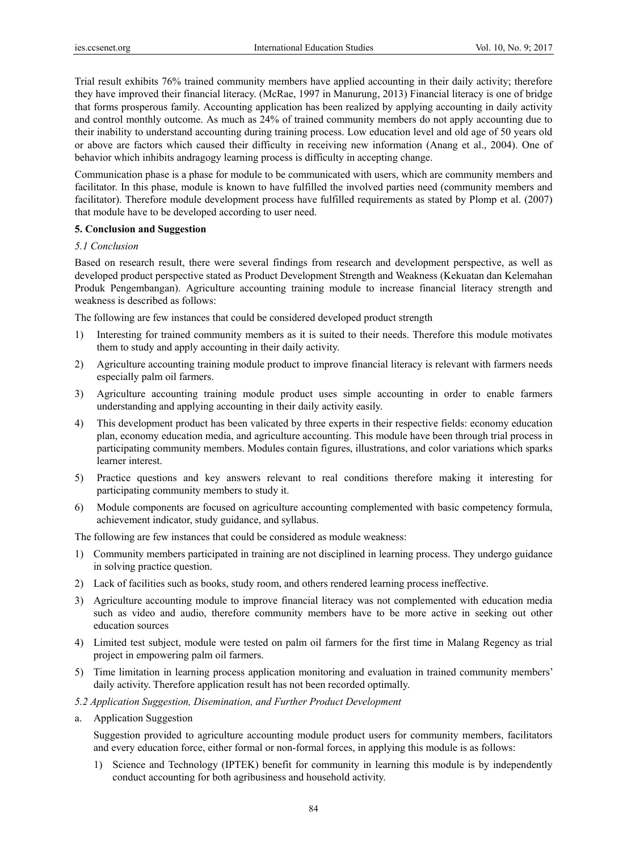Trial result exhibits 76% trained community members have applied accounting in their daily activity; therefore they have improved their financial literacy. (McRae, 1997 in Manurung, 2013) Financial literacy is one of bridge that forms prosperous family. Accounting application has been realized by applying accounting in daily activity and control monthly outcome. As much as 24% of trained community members do not apply accounting due to their inability to understand accounting during training process. Low education level and old age of 50 years old or above are factors which caused their difficulty in receiving new information (Anang et al., 2004). One of behavior which inhibits andragogy learning process is difficulty in accepting change.

Communication phase is a phase for module to be communicated with users, which are community members and facilitator. In this phase, module is known to have fulfilled the involved parties need (community members and facilitator). Therefore module development process have fulfilled requirements as stated by Plomp et al. (2007) that module have to be developed according to user need.

## **5. Conclusion and Suggestion**

#### *5.1 Conclusion*

Based on research result, there were several findings from research and development perspective, as well as developed product perspective stated as Product Development Strength and Weakness (Kekuatan dan Kelemahan Produk Pengembangan). Agriculture accounting training module to increase financial literacy strength and weakness is described as follows:

The following are few instances that could be considered developed product strength

- 1) Interesting for trained community members as it is suited to their needs. Therefore this module motivates them to study and apply accounting in their daily activity.
- 2) Agriculture accounting training module product to improve financial literacy is relevant with farmers needs especially palm oil farmers.
- 3) Agriculture accounting training module product uses simple accounting in order to enable farmers understanding and applying accounting in their daily activity easily.
- 4) This development product has been valicated by three experts in their respective fields: economy education plan, economy education media, and agriculture accounting. This module have been through trial process in participating community members. Modules contain figures, illustrations, and color variations which sparks learner interest.
- 5) Practice questions and key answers relevant to real conditions therefore making it interesting for participating community members to study it.
- 6) Module components are focused on agriculture accounting complemented with basic competency formula, achievement indicator, study guidance, and syllabus.

The following are few instances that could be considered as module weakness:

- 1) Community members participated in training are not disciplined in learning process. They undergo guidance in solving practice question.
- 2) Lack of facilities such as books, study room, and others rendered learning process ineffective.
- 3) Agriculture accounting module to improve financial literacy was not complemented with education media such as video and audio, therefore community members have to be more active in seeking out other education sources
- 4) Limited test subject, module were tested on palm oil farmers for the first time in Malang Regency as trial project in empowering palm oil farmers.
- 5) Time limitation in learning process application monitoring and evaluation in trained community members' daily activity. Therefore application result has not been recorded optimally.
- *5.2 Application Suggestion, Disemination, and Further Product Development*
- a. Application Suggestion

Suggestion provided to agriculture accounting module product users for community members, facilitators and every education force, either formal or non-formal forces, in applying this module is as follows:

1) Science and Technology (IPTEK) benefit for community in learning this module is by independently conduct accounting for both agribusiness and household activity.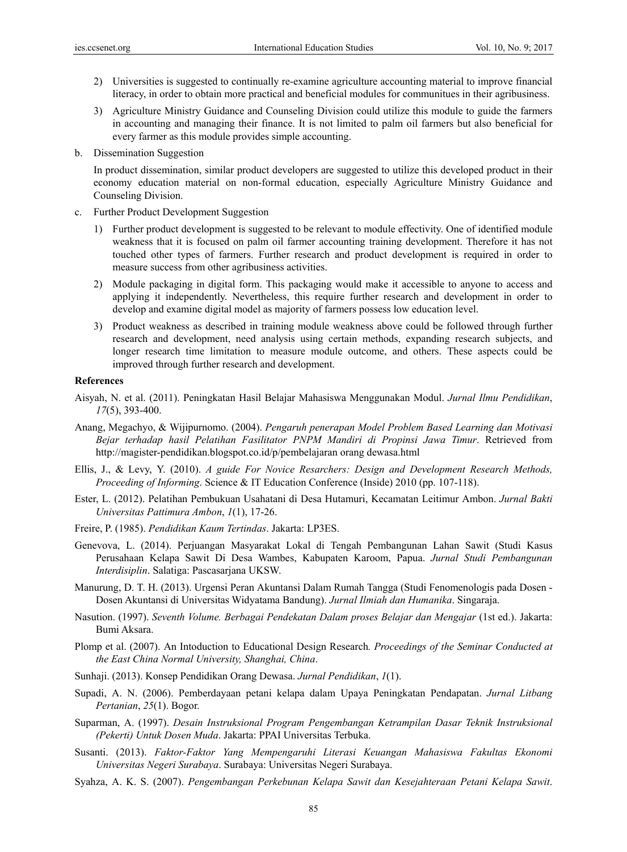- 2) Universities is suggested to continually re-examine agriculture accounting material to improve financial literacy, in order to obtain more practical and beneficial modules for communitues in their agribusiness.
- 3) Agriculture Ministry Guidance and Counseling Division could utilize this module to guide the farmers in accounting and managing their finance. It is not limited to palm oil farmers but also beneficial for every farmer as this module provides simple accounting.
- b. Dissemination Suggestion

In product dissemination, similar product developers are suggested to utilize this developed product in their economy education material on non-formal education, especially Agriculture Ministry Guidance and Counseling Division.

- c. Further Product Development Suggestion
	- 1) Further product development is suggested to be relevant to module effectivity. One of identified module weakness that it is focused on palm oil farmer accounting training development. Therefore it has not touched other types of farmers. Further research and product development is required in order to measure success from other agribusiness activities.
	- 2) Module packaging in digital form. This packaging would make it accessible to anyone to access and applying it independently. Nevertheless, this require further research and development in order to develop and examine digital model as majority of farmers possess low education level.
	- 3) Product weakness as described in training module weakness above could be followed through further research and development, need analysis using certain methods, expanding research subjects, and longer research time limitation to measure module outcome, and others. These aspects could be improved through further research and development.

#### **References**

- Aisyah, N. et al. (2011). Peningkatan Hasil Belajar Mahasiswa Menggunakan Modul. *Jurnal Ilmu Pendidikan*, *17*(5), 393-400.
- Anang, Megachyo, & Wijipurnomo. (2004). *Pengaruh penerapan Model Problem Based Learning dan Motivasi Bejar terhadap hasil Pelatihan Fasilitator PNPM Mandiri di Propinsi Jawa Timur*. Retrieved from http://magister-pendidikan.blogspot.co.id/p/pembelajaran orang dewasa.html
- Ellis, J., & Levy, Y. (2010). *A guide For Novice Resarchers: Design and Development Research Methods, Proceeding of Informing*. Science & IT Education Conference (Inside) 2010 (pp. 107-118).
- Ester, L. (2012). Pelatihan Pembukuan Usahatani di Desa Hutamuri, Kecamatan Leitimur Ambon. *Jurnal Bakti Universitas Pattimura Ambon*, *1*(1), 17-26.
- Freire, P. (1985). *Pendidikan Kaum Tertindas*. Jakarta: LP3ES.
- Genevova, L. (2014). Perjuangan Masyarakat Lokal di Tengah Pembangunan Lahan Sawit (Studi Kasus Perusahaan Kelapa Sawit Di Desa Wambes, Kabupaten Karoom, Papua. *Jurnal Studi Pembangunan Interdisiplin*. Salatiga: Pascasarjana UKSW.
- Manurung, D. T. H. (2013). Urgensi Peran Akuntansi Dalam Rumah Tangga (Studi Fenomenologis pada Dosen Dosen Akuntansi di Universitas Widyatama Bandung). *Jurnal Ilmiah dan Humanika*. Singaraja.
- Nasution. (1997). *Seventh Volume. Berbagai Pendekatan Dalam proses Belajar dan Mengajar* (1st ed.). Jakarta: Bumi Aksara.
- Plomp et al. (2007). An Intoduction to Educational Design Research*. Proceedings of the Seminar Conducted at the East China Normal University, Shanghai, China*.
- Sunhaji. (2013). Konsep Pendidikan Orang Dewasa. *Jurnal Pendidikan*, *1*(1).
- Supadi, A. N. (2006). Pemberdayaan petani kelapa dalam Upaya Peningkatan Pendapatan. *Jurnal Litbang Pertanian*, *25*(1). Bogor.
- Suparman, A. (1997). *Desain Instruksional Program Pengembangan Ketrampilan Dasar Teknik Instruksional (Pekerti) Untuk Dosen Muda*. Jakarta: PPAI Universitas Terbuka.
- Susanti. (2013). *Faktor-Faktor Yang Mempengaruhi Literasi Keuangan Mahasiswa Fakultas Ekonomi Universitas Negeri Surabaya*. Surabaya: Universitas Negeri Surabaya.
- Syahza, A. K. S. (2007). *Pengembangan Perkebunan Kelapa Sawit dan Kesejahteraan Petani Kelapa Sawit*.